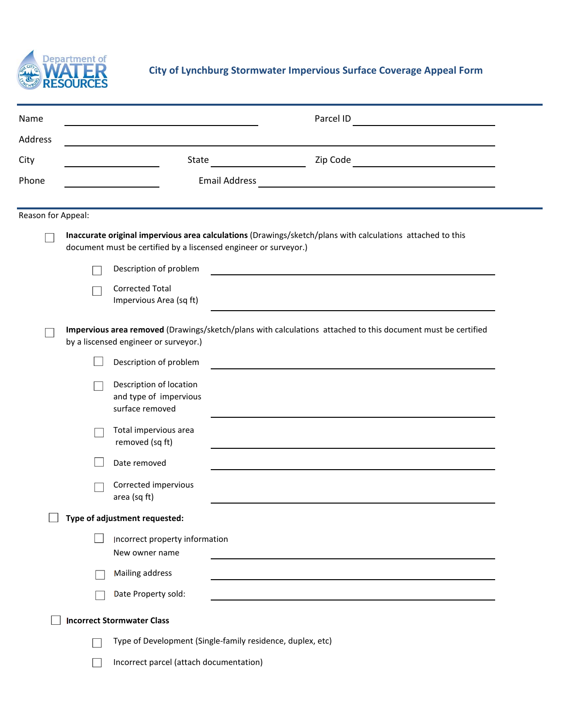

## **City of Lynchburg Stormwater Impervious Surface Coverage Appeal Form**

| Name<br>Address                                                                                                                                       |                                                                                                                                                                                |                                                                      | Parcel ID                                                  |  |  |  |  |
|-------------------------------------------------------------------------------------------------------------------------------------------------------|--------------------------------------------------------------------------------------------------------------------------------------------------------------------------------|----------------------------------------------------------------------|------------------------------------------------------------|--|--|--|--|
| City                                                                                                                                                  | State                                                                                                                                                                          |                                                                      | Zip Code <u>_____________________________</u>              |  |  |  |  |
| Phone                                                                                                                                                 | <b>Email Address</b><br><u> 1989 - Johann Harry Harry Harry Harry Harry Harry Harry Harry Harry Harry Harry Harry Harry Harry Harry Harry</u>                                  |                                                                      |                                                            |  |  |  |  |
| Reason for Appeal:                                                                                                                                    |                                                                                                                                                                                |                                                                      |                                                            |  |  |  |  |
|                                                                                                                                                       | Inaccurate original impervious area calculations (Drawings/sketch/plans with calculations attached to this<br>document must be certified by a liscensed engineer or surveyor.) |                                                                      |                                                            |  |  |  |  |
|                                                                                                                                                       |                                                                                                                                                                                | Description of problem                                               |                                                            |  |  |  |  |
|                                                                                                                                                       |                                                                                                                                                                                | <b>Corrected Total</b><br>Impervious Area (sq ft)                    |                                                            |  |  |  |  |
| Impervious area removed (Drawings/sketch/plans with calculations attached to this document must be certified<br>by a liscensed engineer or surveyor.) |                                                                                                                                                                                |                                                                      |                                                            |  |  |  |  |
|                                                                                                                                                       |                                                                                                                                                                                | Description of problem                                               |                                                            |  |  |  |  |
|                                                                                                                                                       |                                                                                                                                                                                | Description of location<br>and type of impervious<br>surface removed |                                                            |  |  |  |  |
|                                                                                                                                                       |                                                                                                                                                                                | Total impervious area<br>removed (sq ft)                             |                                                            |  |  |  |  |
|                                                                                                                                                       |                                                                                                                                                                                | Date removed                                                         |                                                            |  |  |  |  |
|                                                                                                                                                       |                                                                                                                                                                                | Corrected impervious<br>area (sq ft)                                 |                                                            |  |  |  |  |
|                                                                                                                                                       |                                                                                                                                                                                | Type of adjustment requested:                                        |                                                            |  |  |  |  |
|                                                                                                                                                       |                                                                                                                                                                                | Incorrect property information<br>New owner name                     |                                                            |  |  |  |  |
|                                                                                                                                                       |                                                                                                                                                                                | Mailing address                                                      |                                                            |  |  |  |  |
|                                                                                                                                                       |                                                                                                                                                                                | Date Property sold:                                                  |                                                            |  |  |  |  |
|                                                                                                                                                       |                                                                                                                                                                                | <b>Incorrect Stormwater Class</b>                                    |                                                            |  |  |  |  |
|                                                                                                                                                       |                                                                                                                                                                                |                                                                      | Type of Development (Single-family residence, duplex, etc) |  |  |  |  |
|                                                                                                                                                       |                                                                                                                                                                                | Incorrect parcel (attach documentation)                              |                                                            |  |  |  |  |